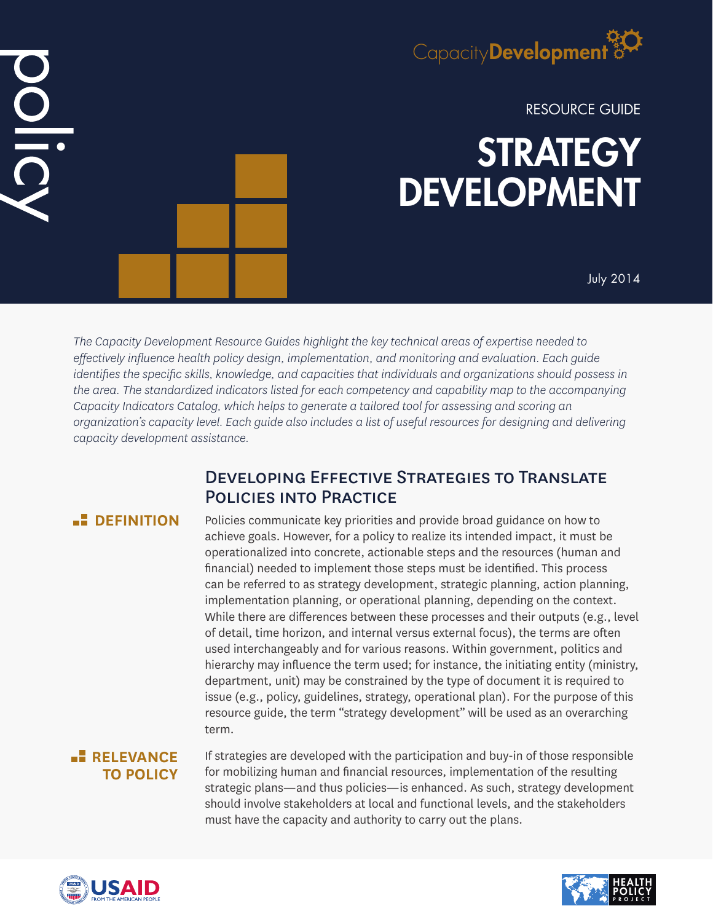

RESOURCE GUIDE

# **STRATEGY** DEVELOPMENT

July 2014

*The Capacity Development Resource Guides highlight the key technical areas of expertise needed to effectively influence health policy design, implementation, and monitoring and evaluation. Each guide identifies the specific skills, knowledge, and capacities that individuals and organizations should possess in the area. The standardized indicators listed for each competency and capability map to the accompanying Capacity Indicators Catalog, which helps to generate a tailored tool for assessing and scoring an organization's capacity level. Each guide also includes a list of useful resources for designing and delivering capacity development assistance.*

# Developing Effective Strategies to Translate Policies into Practice

## **<u>DEFINITION</u>**

DOLIC

Policies communicate key priorities and provide broad guidance on how to achieve goals. However, for a policy to realize its intended impact, it must be operationalized into concrete, actionable steps and the resources (human and financial) needed to implement those steps must be identified. This process can be referred to as strategy development, strategic planning, action planning, implementation planning, or operational planning, depending on the context. While there are differences between these processes and their outputs (e.g., level of detail, time horizon, and internal versus external focus), the terms are often used interchangeably and for various reasons. Within government, politics and hierarchy may influence the term used; for instance, the initiating entity (ministry, department, unit) may be constrained by the type of document it is required to issue (e.g., policy, guidelines, strategy, operational plan). For the purpose of this resource guide, the term "strategy development" will be used as an overarching term.

# **RELEVANCE TO POLICY**

If strategies are developed with the participation and buy-in of those responsible for mobilizing human and financial resources, implementation of the resulting strategic plans—and thus policies—is enhanced. As such, strategy development should involve stakeholders at local and functional levels, and the stakeholders must have the capacity and authority to carry out the plans.



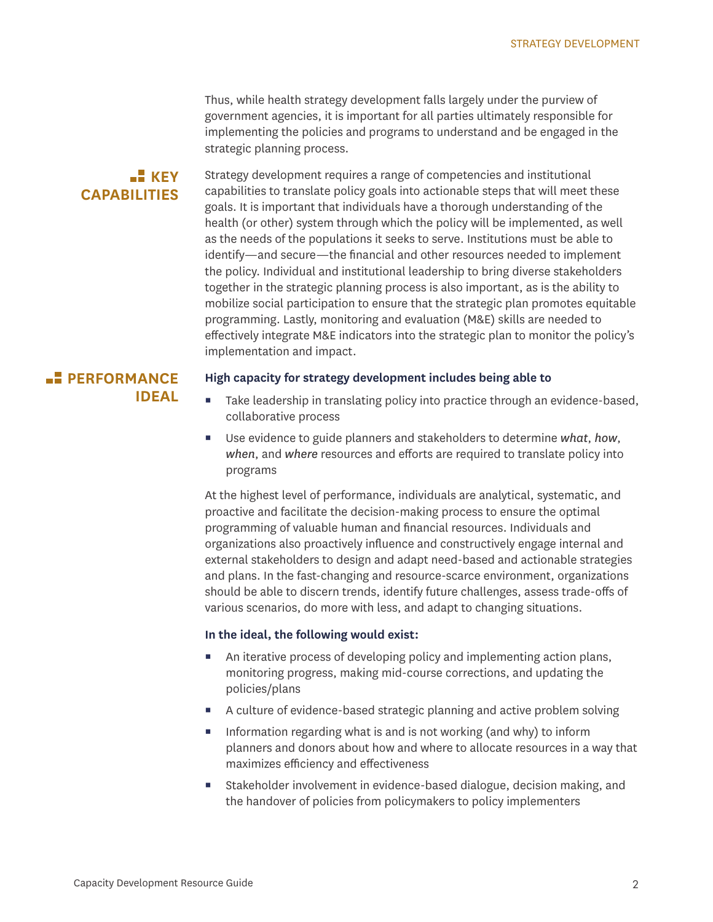Thus, while health strategy development falls largely under the purview of government agencies, it is important for all parties ultimately responsible for implementing the policies and programs to understand and be engaged in the strategic planning process.

#### **KEY CAPABILITIES**

Strategy development requires a range of competencies and institutional capabilities to translate policy goals into actionable steps that will meet these goals. It is important that individuals have a thorough understanding of the health (or other) system through which the policy will be implemented, as well as the needs of the populations it seeks to serve. Institutions must be able to identify—and secure—the financial and other resources needed to implement the policy. Individual and institutional leadership to bring diverse stakeholders together in the strategic planning process is also important, as is the ability to mobilize social participation to ensure that the strategic plan promotes equitable programming. Lastly, monitoring and evaluation (M&E) skills are needed to effectively integrate M&E indicators into the strategic plan to monitor the policy's implementation and impact.

# **PERFORMANCE IDEAL**

#### **High capacity for strategy development includes being able to**

- Take leadership in translating policy into practice through an evidence-based, collaborative process
- Use evidence to guide planners and stakeholders to determine *what*, *how*, *when*, and *where* resources and efforts are required to translate policy into programs

At the highest level of performance, individuals are analytical, systematic, and proactive and facilitate the decision-making process to ensure the optimal programming of valuable human and financial resources. Individuals and organizations also proactively influence and constructively engage internal and external stakeholders to design and adapt need-based and actionable strategies and plans. In the fast-changing and resource-scarce environment, organizations should be able to discern trends, identify future challenges, assess trade-offs of various scenarios, do more with less, and adapt to changing situations.

#### **In the ideal, the following would exist:**

- An iterative process of developing policy and implementing action plans, monitoring progress, making mid-course corrections, and updating the policies/plans
- A culture of evidence-based strategic planning and active problem solving
- Information regarding what is and is not working (and why) to inform planners and donors about how and where to allocate resources in a way that maximizes efficiency and effectiveness
- Stakeholder involvement in evidence-based dialogue, decision making, and the handover of policies from policymakers to policy implementers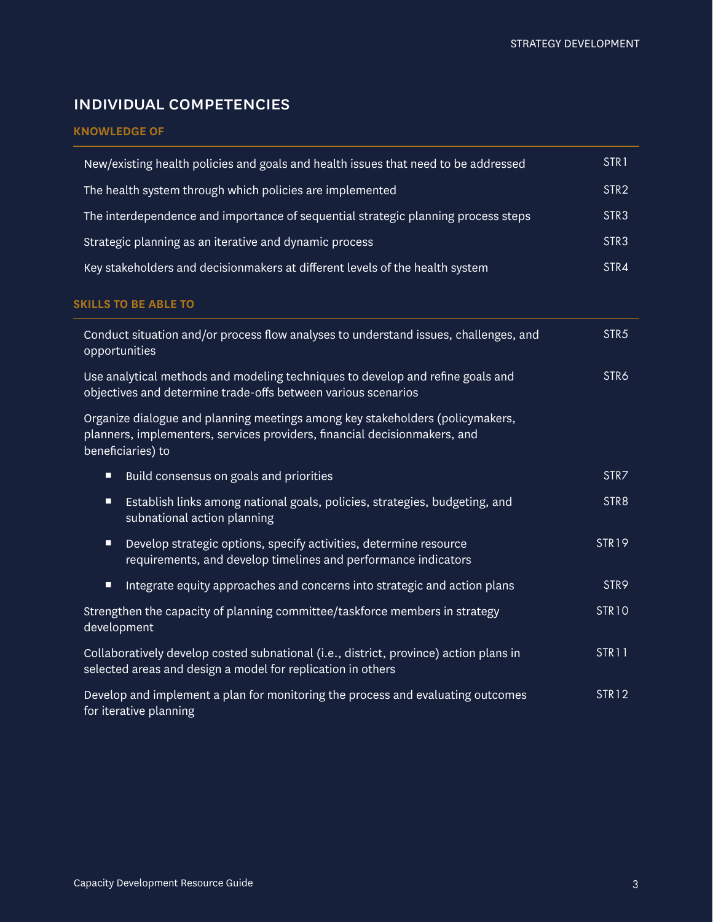# individual competencies

#### **KNOWLEDGE OF**

| New/existing health policies and goals and health issues that need to be addressed                                                                                              | STR <sub>1</sub> |
|---------------------------------------------------------------------------------------------------------------------------------------------------------------------------------|------------------|
| The health system through which policies are implemented                                                                                                                        | STR <sub>2</sub> |
| The interdependence and importance of sequential strategic planning process steps                                                                                               | STR3             |
| Strategic planning as an iterative and dynamic process                                                                                                                          | STR3             |
| Key stakeholders and decisionmakers at different levels of the health system                                                                                                    | STR4             |
| <b>SKILLS TO BE ABLE TO</b>                                                                                                                                                     |                  |
| Conduct situation and/or process flow analyses to understand issues, challenges, and<br>opportunities                                                                           | STR <sub>5</sub> |
| Use analytical methods and modeling techniques to develop and refine goals and<br>objectives and determine trade-offs between various scenarios                                 | STR6             |
| Organize dialogue and planning meetings among key stakeholders (policymakers,<br>planners, implementers, services providers, financial decisionmakers, and<br>beneficiaries) to |                  |
| Ξ<br>Build consensus on goals and priorities                                                                                                                                    | STR7             |
| Establish links among national goals, policies, strategies, budgeting, and<br>Ξ<br>subnational action planning                                                                  | STR8             |
| Develop strategic options, specify activities, determine resource<br>$\blacksquare$<br>requirements, and develop timelines and performance indicators                           | <b>STR19</b>     |
| Integrate equity approaches and concerns into strategic and action plans<br>Ξ                                                                                                   | STR9             |
| Strengthen the capacity of planning committee/taskforce members in strategy<br>development                                                                                      | <b>STR10</b>     |
| Collaboratively develop costed subnational (i.e., district, province) action plans in<br>selected areas and design a model for replication in others                            | STR11            |
| Develop and implement a plan for monitoring the process and evaluating outcomes<br>for iterative planning                                                                       | <b>STR12</b>     |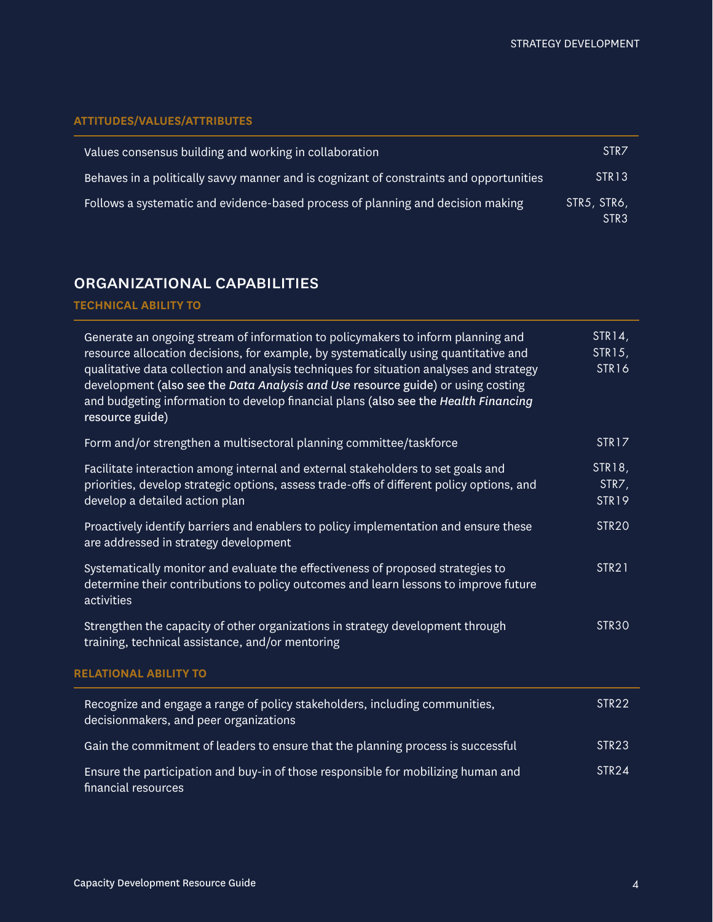#### **ATTITUDES/VALUES/ATTRIBUTES**

| Values consensus building and working in collaboration                                  | STR <sub>7</sub>                |
|-----------------------------------------------------------------------------------------|---------------------------------|
| Behaves in a politically savvy manner and is cognizant of constraints and opportunities | STR <sub>13</sub>               |
| Follows a systematic and evidence-based process of planning and decision making         | STR5, STR6,<br>STR <sub>3</sub> |

# organizational capabilities

#### **TECHNICAL ABILITY TO**

| Generate an ongoing stream of information to policymakers to inform planning and<br>resource allocation decisions, for example, by systematically using quantitative and<br>qualitative data collection and analysis techniques for situation analyses and strategy<br>development (also see the Data Analysis and Use resource guide) or using costing<br>and budgeting information to develop financial plans (also see the Health Financing<br>resource guide) | STR14,<br>STR15,<br>STR16 |
|-------------------------------------------------------------------------------------------------------------------------------------------------------------------------------------------------------------------------------------------------------------------------------------------------------------------------------------------------------------------------------------------------------------------------------------------------------------------|---------------------------|
| Form and/or strengthen a multisectoral planning committee/taskforce                                                                                                                                                                                                                                                                                                                                                                                               | STR17                     |
| Facilitate interaction among internal and external stakeholders to set goals and<br>priorities, develop strategic options, assess trade-offs of different policy options, and<br>develop a detailed action plan                                                                                                                                                                                                                                                   | STR18,<br>STR7,<br>STR19  |
| Proactively identify barriers and enablers to policy implementation and ensure these<br>are addressed in strategy development                                                                                                                                                                                                                                                                                                                                     | <b>STR20</b>              |
| Systematically monitor and evaluate the effectiveness of proposed strategies to<br>determine their contributions to policy outcomes and learn lessons to improve future<br>activities                                                                                                                                                                                                                                                                             | STR <sub>21</sub>         |
| Strengthen the capacity of other organizations in strategy development through<br>training, technical assistance, and/or mentoring                                                                                                                                                                                                                                                                                                                                | STR <sub>30</sub>         |
| <b>RELATIONAL ABILITY TO</b>                                                                                                                                                                                                                                                                                                                                                                                                                                      |                           |
| Recognize and engage a range of policy stakeholders, including communities,<br>decisionmakers, and peer organizations                                                                                                                                                                                                                                                                                                                                             | STR <sub>22</sub>         |
| Gain the commitment of leaders to ensure that the planning process is successful                                                                                                                                                                                                                                                                                                                                                                                  | STR <sub>23</sub>         |
| Ensure the participation and buy-in of those responsible for mobilizing human and<br>financial resources                                                                                                                                                                                                                                                                                                                                                          | <b>STR24</b>              |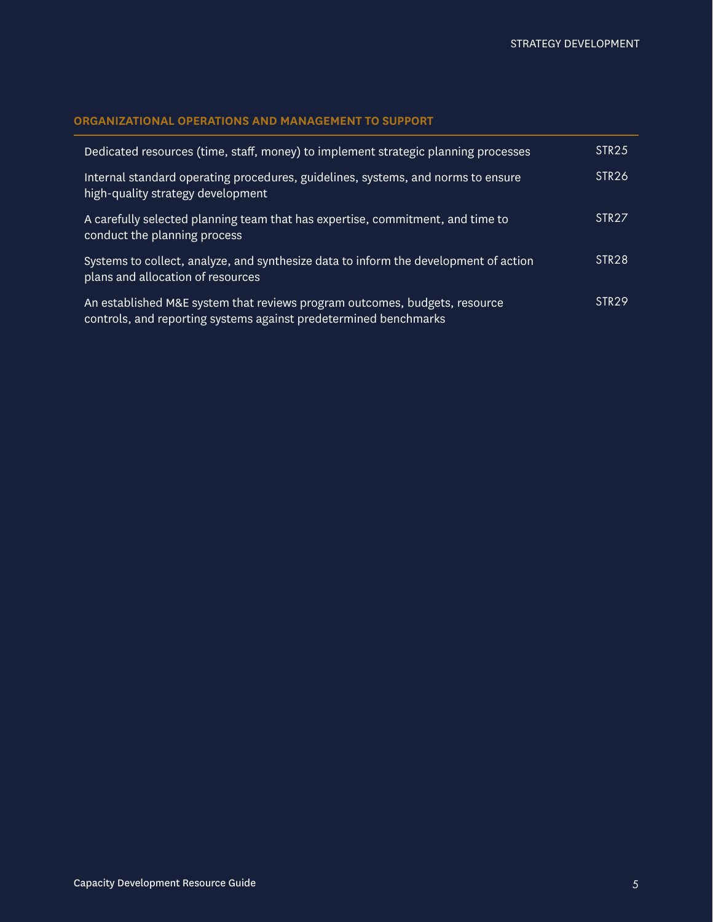#### **ORGANIZATIONAL OPERATIONS AND MANAGEMENT TO SUPPORT**

| Dedicated resources (time, staff, money) to implement strategic planning processes                                                             | STR <sub>25</sub> |
|------------------------------------------------------------------------------------------------------------------------------------------------|-------------------|
| Internal standard operating procedures, guidelines, systems, and norms to ensure<br>high-quality strategy development                          | STR <sub>26</sub> |
| A carefully selected planning team that has expertise, commitment, and time to<br>conduct the planning process                                 | STR <sub>27</sub> |
| Systems to collect, analyze, and synthesize data to inform the development of action<br>plans and allocation of resources                      | STR <sub>28</sub> |
| An established M&E system that reviews program outcomes, budgets, resource<br>controls, and reporting systems against predetermined benchmarks | STR <sub>29</sub> |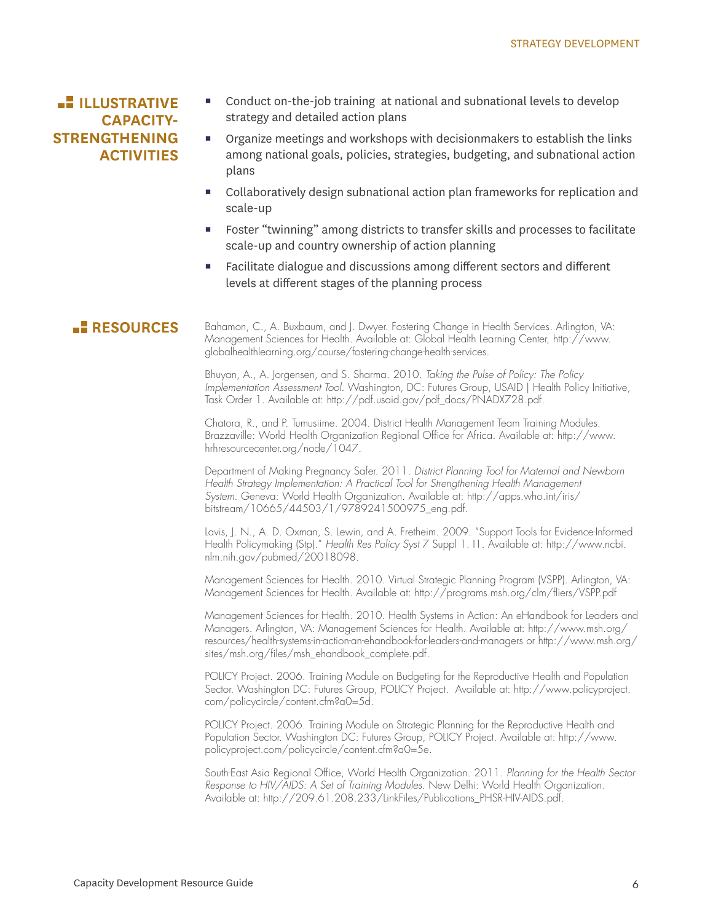## **ILLUSTRATIVE CAPACITY-STRENGTHENING ACTIVITIES**

- Conduct on-the-job training at national and subnational levels to develop strategy and detailed action plans
- Organize meetings and workshops with decisionmakers to establish the links among national goals, policies, strategies, budgeting, and subnational action plans
- Collaboratively design subnational action plan frameworks for replication and scale-up
- Foster "twinning" among districts to transfer skills and processes to facilitate scale-up and country ownership of action planning
- Facilitate dialogue and discussions among different sectors and different levels at different stages of the planning process

**RESOURCES** Bahamon, C., A. Buxbaum, and J. Dwyer. Fostering Change in Health Services. Arlington, VA: Management Sciences for Health. Available at: Global Health Learning Center, http://www. globalhealthlearning.org/course/fostering-change-health-services.

> Bhuyan, A., A. Jorgensen, and S. Sharma. 2010. *Taking the Pulse of Policy: The Policy Implementation Assessment Tool*. Washington, DC: Futures Group, USAID | Health Policy Initiative, Task Order 1. Available at: http://pdf.usaid.gov/pdf\_docs/PNADX728.pdf.

Chatora, R., and P. Tumusiime. 2004. District Health Management Team Training Modules. Brazzaville: World Health Organization Regional Office for Africa. Available at: http://www. hrhresourcecenter.org/node/1047.

Department of Making Pregnancy Safer. 2011. *District Planning Tool for Maternal and Newborn Health Strategy Implementation: A Practical Tool for Strengthening Health Management System*. Geneva: World Health Organization. Available at: http://apps.who.int/iris/ bitstream/10665/44503/1/9789241500975\_eng.pdf.

Lavis, J. N., A. D. Oxman, S. Lewin, and A. Fretheim. 2009. "Support Tools for Evidence-Informed Health Policymaking (Stp)." *Health Res Policy Syst* 7 Suppl 1. I1. Available at: http://www.ncbi. nlm.nih.gov/pubmed/20018098.

Management Sciences for Health. 2010. Virtual Strategic Planning Program (VSPP). Arlington, VA: Management Sciences for Health. Available at: http://programs.msh.org/clm/fliers/VSPP.pdf

Management Sciences for Health. 2010. Health Systems in Action: An eHandbook for Leaders and Managers. Arlington, VA: Management Sciences for Health. Available at: http://www.msh.org/ resources/health-systems-in-action-an-ehandbook-for-leaders-and-managers or http://www.msh.org/ sites/msh.org/files/msh\_ehandbook\_complete.pdf.

POLICY Project. 2006. Training Module on Budgeting for the Reproductive Health and Population Sector. Washington DC: Futures Group, POLICY Project. Available at: http://www.policyproject. com/policycircle/content.cfm?a0=5d.

POLICY Project. 2006. Training Module on Strategic Planning for the Reproductive Health and Population Sector. Washington DC: Futures Group, POLICY Project. Available at: http://www. policyproject.com/policycircle/content.cfm?a0=5e.

South-East Asia Regional Office, World Health Organization. 2011. *Planning for the Health Sector Response to HIV/AIDS: A Set of Training Modules*. New Delhi: World Health Organization. Available at: http://209.61.208.233/LinkFiles/Publications\_PHSR-HIV-AIDS.pdf.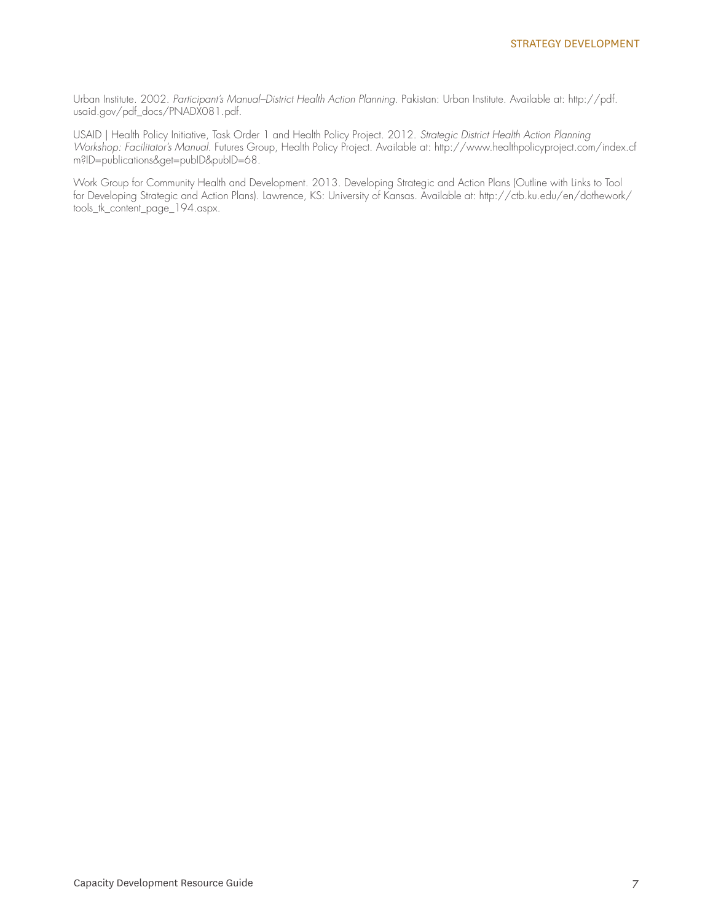Urban Institute. 2002. *Participant's Manual–District Health Action Planning*. Pakistan: Urban Institute. Available at: http://pdf. usaid.gov/pdf\_docs/PNADX081.pdf.

USAID | Health Policy Initiative, Task Order 1 and Health Policy Project. 2012. *Strategic District Health Action Planning Workshop: Facilitator's Manual*. Futures Group, Health Policy Project. Available at: http://www.healthpolicyproject.com/index.cf m?ID=publications&get=pubID&pubID=68.

Work Group for Community Health and Development. 2013. Developing Strategic and Action Plans (Outline with Links to Tool for Developing Strategic and Action Plans). Lawrence, KS: University of Kansas. Available at: http://ctb.ku.edu/en/dothework/ tools\_tk\_content\_page\_194.aspx.